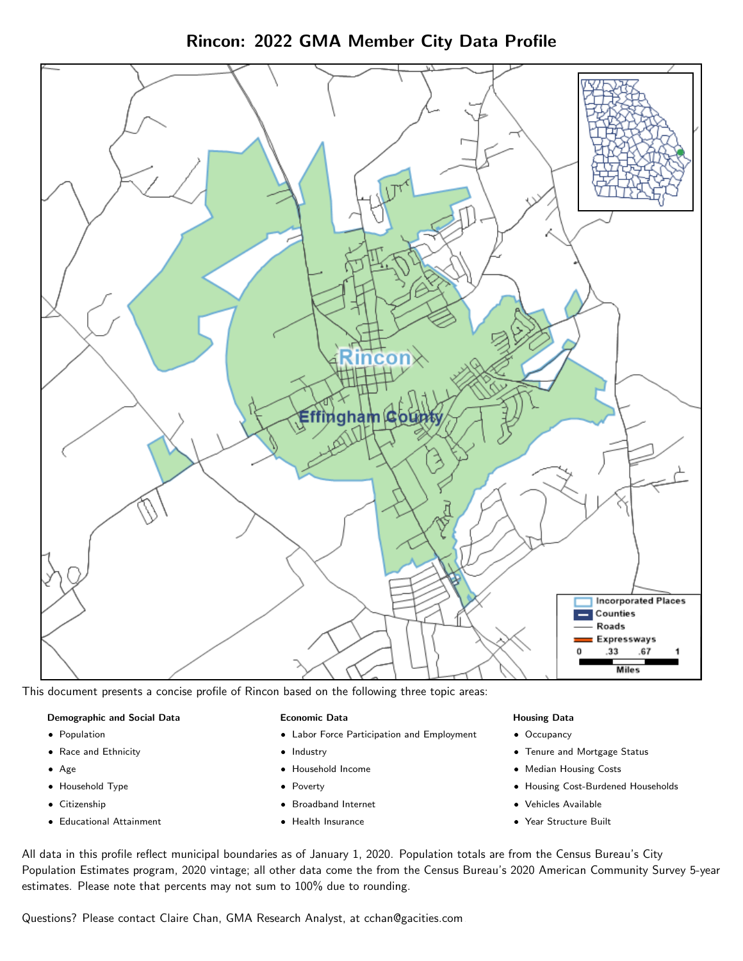



This document presents a concise profile of Rincon based on the following three topic areas:

### Demographic and Social Data

- **•** Population
- Race and Ethnicity
- Age
- Household Type
- **Citizenship**
- Educational Attainment

#### Economic Data

- Labor Force Participation and Employment
- Industry
- Household Income
- Poverty
- Broadband Internet
- Health Insurance

#### Housing Data

- Occupancy
- Tenure and Mortgage Status
- Median Housing Costs
- Housing Cost-Burdened Households
- Vehicles Available
- Year Structure Built

All data in this profile reflect municipal boundaries as of January 1, 2020. Population totals are from the Census Bureau's City Population Estimates program, 2020 vintage; all other data come the from the Census Bureau's 2020 American Community Survey 5-year estimates. Please note that percents may not sum to 100% due to rounding.

Questions? Please contact Claire Chan, GMA Research Analyst, at [cchan@gacities.com.](mailto:cchan@gacities.com)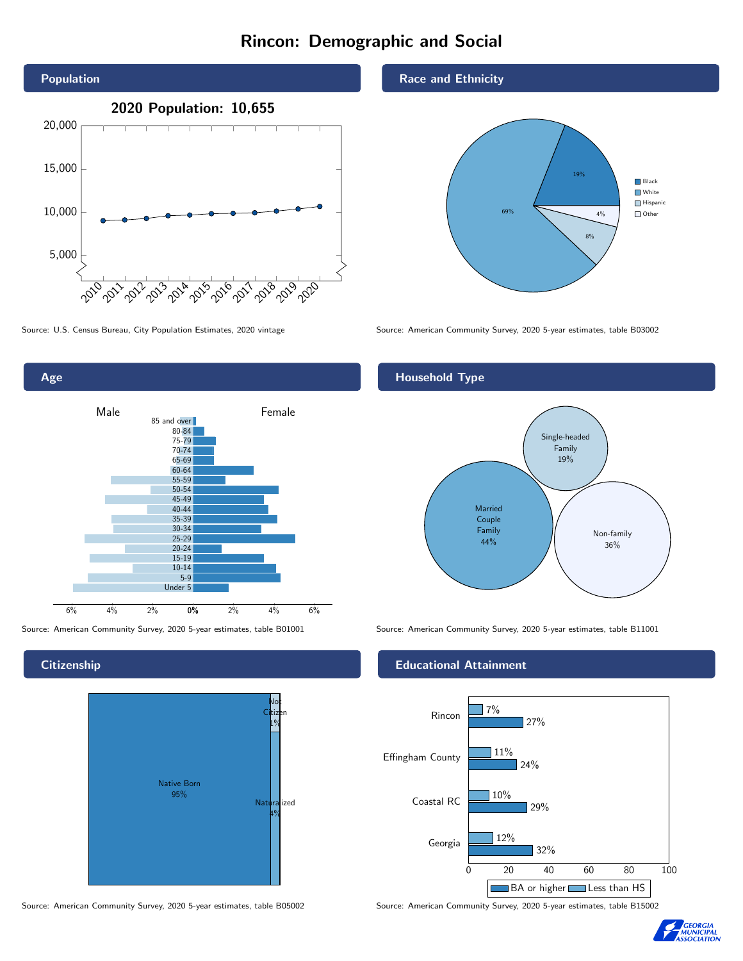# Rincon: Demographic and Social





**Citizenship** 



Source: American Community Survey, 2020 5-year estimates, table B05002 Source: American Community Survey, 2020 5-year estimates, table B15002

Race and Ethnicity



Source: U.S. Census Bureau, City Population Estimates, 2020 vintage Source: American Community Survey, 2020 5-year estimates, table B03002

## Household Type



Source: American Community Survey, 2020 5-year estimates, table B01001 Source: American Community Survey, 2020 5-year estimates, table B11001

### Educational Attainment



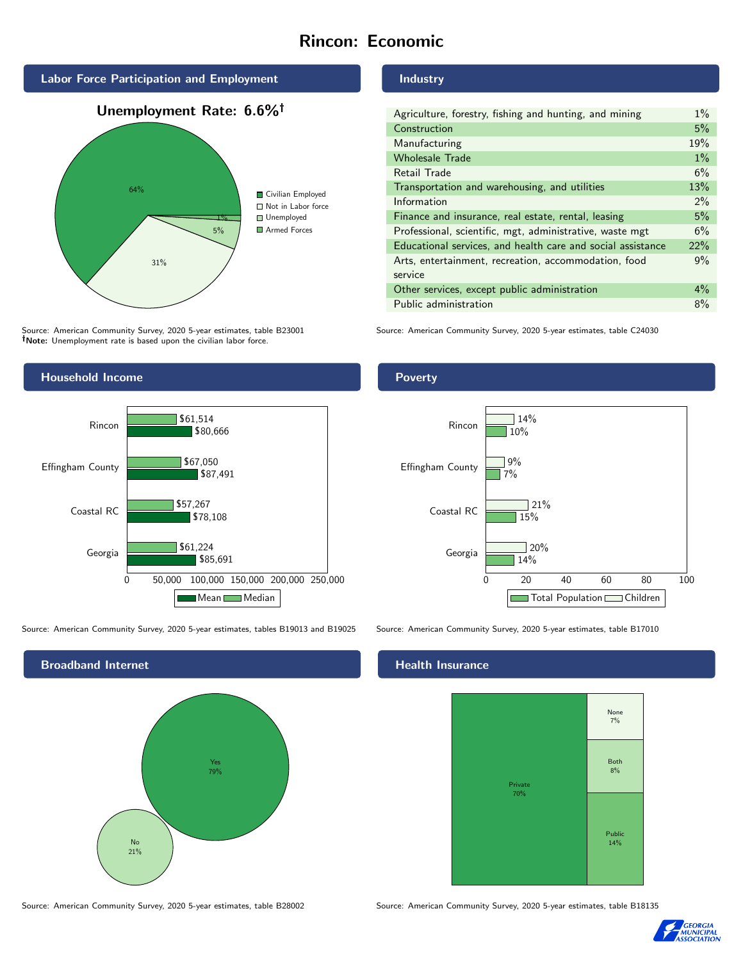# Rincon: Economic



Source: American Community Survey, 2020 5-year estimates, table B23001 Note: Unemployment rate is based upon the civilian labor force.

#### Industry

| Agriculture, forestry, fishing and hunting, and mining      | $1\%$ |
|-------------------------------------------------------------|-------|
| Construction                                                | 5%    |
| Manufacturing                                               | 19%   |
| <b>Wholesale Trade</b>                                      | $1\%$ |
| Retail Trade                                                | 6%    |
| Transportation and warehousing, and utilities               | 13%   |
| Information                                                 | $2\%$ |
| Finance and insurance, real estate, rental, leasing         | 5%    |
| Professional, scientific, mgt, administrative, waste mgt    | 6%    |
| Educational services, and health care and social assistance | 22%   |
| Arts, entertainment, recreation, accommodation, food        | 9%    |
| service                                                     |       |
| Other services, except public administration                | $4\%$ |
| Public administration                                       | 8%    |

Source: American Community Survey, 2020 5-year estimates, table C24030



Source: American Community Survey, 2020 5-year estimates, tables B19013 and B19025 Source: American Community Survey, 2020 5-year estimates, table B17010



### Poverty



## **Health Insurance**



Source: American Community Survey, 2020 5-year estimates, table B28002 Source: American Community Survey, 2020 5-year estimates, table B18135